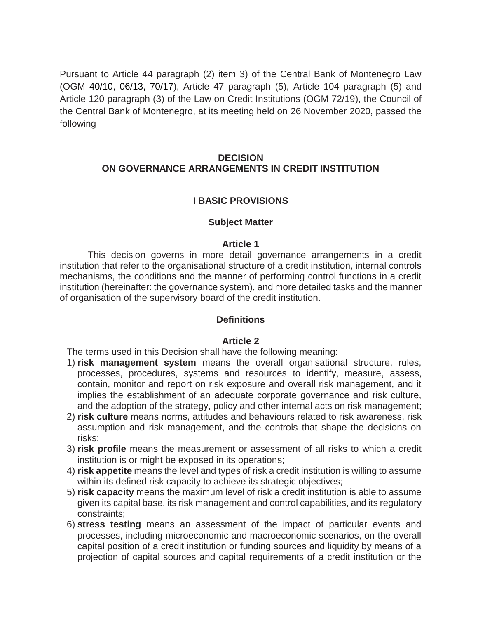Pursuant to Article 44 paragraph (2) item 3) of the Central Bank of Montenegro Law (OGM 40/10, 06/13, 70/17), Article 47 paragraph (5), Article 104 paragraph (5) and Article 120 paragraph (3) of the Law on Credit Institutions (OGM 72/19), the Council of the Central Bank of Montenegro, at its meeting held on 26 November 2020, passed the following

### **DECISION ON GOVERNANCE ARRANGEMENTS IN CREDIT INSTITUTION**

### **I BASIC PROVISIONS**

#### **Subject Matter**

#### **Article 1**

This decision governs in more detail governance arrangements in a credit institution that refer to the organisational structure of a credit institution, internal controls mechanisms, the conditions and the manner of performing control functions in a credit institution (hereinafter: the governance system), and more detailed tasks and the manner of organisation of the supervisory board of the credit institution.

#### **Definitions**

#### **Article 2**

The terms used in this Decision shall have the following meaning:

- 1) **risk management system** means the overall organisational structure, rules, processes, procedures, systems and resources to identify, measure, assess, contain, monitor and report on risk exposure and overall risk management, and it implies the establishment of an adequate corporate governance and risk culture, and the adoption of the strategy, policy and other internal acts on risk management;
- 2) **risk culture** means norms, attitudes and behaviours related to risk awareness, risk assumption and risk management, and the controls that shape the decisions on risks;
- 3) **risk profile** means the measurement or assessment of all risks to which a credit institution is or might be exposed in its operations;
- 4) **risk appetite** means the level and types of risk a credit institution is willing to assume within its defined risk capacity to achieve its strategic objectives;
- 5) **risk capacity** means the maximum level of risk a credit institution is able to assume given its capital base, its risk management and control capabilities, and its regulatory constraints;
- 6) **stress testing** means an assessment of the impact of particular events and processes, including microeconomic and macroeconomic scenarios, on the overall capital position of a credit institution or funding sources and liquidity by means of a projection of capital sources and capital requirements of a credit institution or the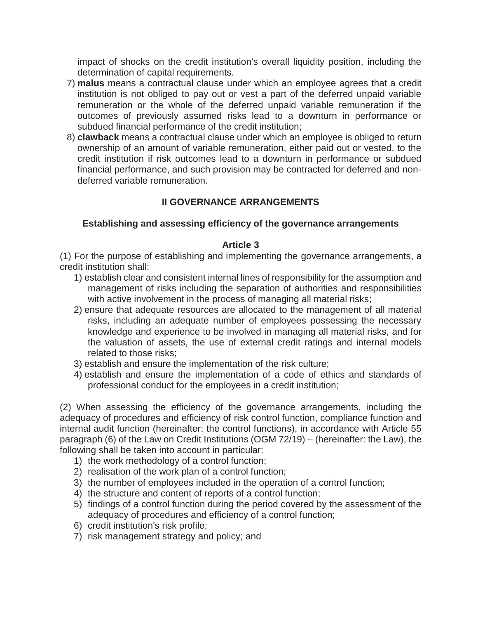impact of shocks on the credit institution's overall liquidity position, including the determination of capital requirements.

- 7) **malus** means a contractual clause under which an employee agrees that a credit institution is not obliged to pay out or vest a part of the deferred unpaid variable remuneration or the whole of the deferred unpaid variable remuneration if the outcomes of previously assumed risks lead to a downturn in performance or subdued financial performance of the credit institution;
- 8) **clawback** means a contractual clause under which an employee is obliged to return ownership of an amount of variable remuneration, either paid out or vested, to the credit institution if risk outcomes lead to a downturn in performance or subdued financial performance, and such provision may be contracted for deferred and nondeferred variable remuneration.

# **II GOVERNANCE ARRANGEMENTS**

### **Establishing and assessing efficiency of the governance arrangements**

### **Article 3**

(1) For the purpose of establishing and implementing the governance arrangements, a credit institution shall:

- 1) establish clear and consistent internal lines of responsibility for the assumption and management of risks including the separation of authorities and responsibilities with active involvement in the process of managing all material risks;
- 2) ensure that adequate resources are allocated to the management of all material risks, including an adequate number of employees possessing the necessary knowledge and experience to be involved in managing all material risks, and for the valuation of assets, the use of external credit ratings and internal models related to those risks;
- 3) establish and ensure the implementation of the risk culture;
- 4) establish and ensure the implementation of a code of ethics and standards of professional conduct for the employees in a credit institution;

(2) When assessing the efficiency of the governance arrangements, including the adequacy of procedures and efficiency of risk control function, compliance function and internal audit function (hereinafter: the control functions), in accordance with Article 55 paragraph (6) of the Law on Credit Institutions (OGM 72/19) – (hereinafter: the Law), the following shall be taken into account in particular:

- 1) the work methodology of a control function;
- 2) realisation of the work plan of a control function;
- 3) the number of employees included in the operation of a control function;
- 4) the structure and content of reports of a control function;
- 5) findings of a control function during the period covered by the assessment of the adequacy of procedures and efficiency of a control function;
- 6) credit institution's risk profile;
- 7) risk management strategy and policy; and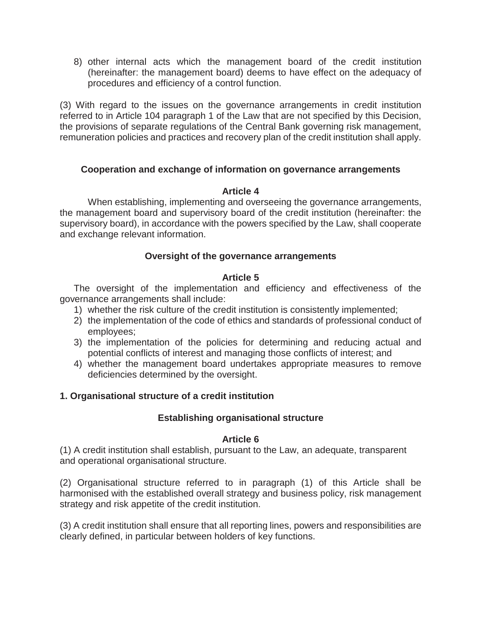8) other internal acts which the management board of the credit institution (hereinafter: the management board) deems to have effect on the adequacy of procedures and efficiency of a control function.

(3) With regard to the issues on the governance arrangements in credit institution referred to in Article 104 paragraph 1 of the Law that are not specified by this Decision, the provisions of separate regulations of the Central Bank governing risk management, remuneration policies and practices and recovery plan of the credit institution shall apply.

### **Cooperation and exchange of information on governance arrangements**

#### **Article 4**

When establishing, implementing and overseeing the governance arrangements, the management board and supervisory board of the credit institution (hereinafter: the supervisory board), in accordance with the powers specified by the Law, shall cooperate and exchange relevant information.

### **Oversight of the governance arrangements**

### **Article 5**

The oversight of the implementation and efficiency and effectiveness of the governance arrangements shall include:

- 1) whether the risk culture of the credit institution is consistently implemented;
- 2) the implementation of the code of ethics and standards of professional conduct of employees;
- 3) the implementation of the policies for determining and reducing actual and potential conflicts of interest and managing those conflicts of interest; and
- 4) whether the management board undertakes appropriate measures to remove deficiencies determined by the oversight.

### **1. Organisational structure of a credit institution**

### **Establishing organisational structure**

### **Article 6**

(1) A credit institution shall establish, pursuant to the Law, an adequate, transparent and operational organisational structure.

(2) Organisational structure referred to in paragraph (1) of this Article shall be harmonised with the established overall strategy and business policy, risk management strategy and risk appetite of the credit institution.

(3) A credit institution shall ensure that all reporting lines, powers and responsibilities are clearly defined, in particular between holders of key functions.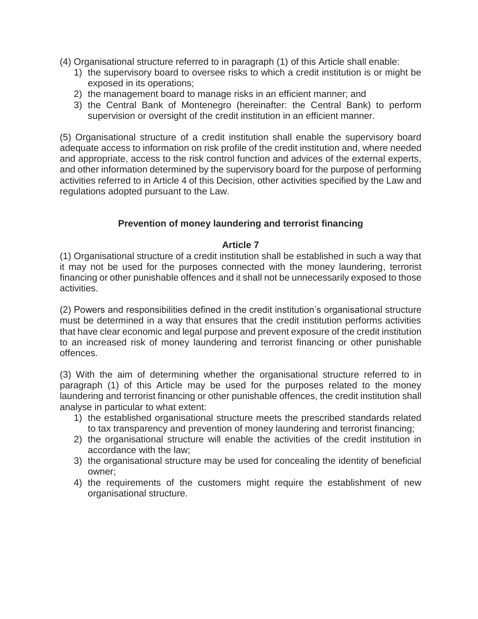- (4) Organisational structure referred to in paragraph (1) of this Article shall enable:
	- 1) the supervisory board to oversee risks to which a credit institution is or might be exposed in its operations;
	- 2) the management board to manage risks in an efficient manner; and
	- 3) the Central Bank of Montenegro (hereinafter: the Central Bank) to perform supervision or oversight of the credit institution in an efficient manner.

(5) Organisational structure of a credit institution shall enable the supervisory board adequate access to information on risk profile of the credit institution and, where needed and appropriate, access to the risk control function and advices of the external experts, and other information determined by the supervisory board for the purpose of performing activities referred to in Article 4 of this Decision, other activities specified by the Law and regulations adopted pursuant to the Law.

### **Prevention of money laundering and terrorist financing**

#### **Article 7**

(1) Organisational structure of a credit institution shall be established in such a way that it may not be used for the purposes connected with the money laundering, terrorist financing or other punishable offences and it shall not be unnecessarily exposed to those activities.

(2) Powers and responsibilities defined in the credit institution's organisational structure must be determined in a way that ensures that the credit institution performs activities that have clear economic and legal purpose and prevent exposure of the credit institution to an increased risk of money laundering and terrorist financing or other punishable offences.

(3) With the aim of determining whether the organisational structure referred to in paragraph (1) of this Article may be used for the purposes related to the money laundering and terrorist financing or other punishable offences, the credit institution shall analyse in particular to what extent:

- 1) the established organisational structure meets the prescribed standards related to tax transparency and prevention of money laundering and terrorist financing;
- 2) the organisational structure will enable the activities of the credit institution in accordance with the law;
- 3) the organisational structure may be used for concealing the identity of beneficial owner;
- 4) the requirements of the customers might require the establishment of new organisational structure.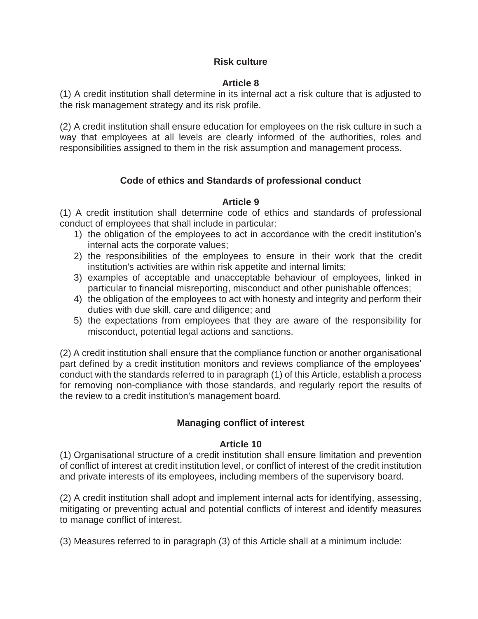## **Risk culture**

### **Article 8**

(1) A credit institution shall determine in its internal act a risk culture that is adjusted to the risk management strategy and its risk profile.

(2) A credit institution shall ensure education for employees on the risk culture in such a way that employees at all levels are clearly informed of the authorities, roles and responsibilities assigned to them in the risk assumption and management process.

# **Code of ethics and Standards of professional conduct**

### **Article 9**

(1) A credit institution shall determine code of ethics and standards of professional conduct of employees that shall include in particular:

- 1) the obligation of the employees to act in accordance with the credit institution's internal acts the corporate values;
- 2) the responsibilities of the employees to ensure in their work that the credit institution's activities are within risk appetite and internal limits;
- 3) examples of acceptable and unacceptable behaviour of employees, linked in particular to financial misreporting, misconduct and other punishable offences;
- 4) the obligation of the employees to act with honesty and integrity and perform their duties with due skill, care and diligence; and
- 5) the expectations from employees that they are aware of the responsibility for misconduct, potential legal actions and sanctions.

(2) A credit institution shall ensure that the compliance function or another organisational part defined by a credit institution monitors and reviews compliance of the employees' conduct with the standards referred to in paragraph (1) of this Article, establish a process for removing non-compliance with those standards, and regularly report the results of the review to a credit institution's management board.

# **Managing conflict of interest**

### **Article 10**

(1) Organisational structure of a credit institution shall ensure limitation and prevention of conflict of interest at credit institution level, or conflict of interest of the credit institution and private interests of its employees, including members of the supervisory board.

(2) A credit institution shall adopt and implement internal acts for identifying, assessing, mitigating or preventing actual and potential conflicts of interest and identify measures to manage conflict of interest.

(3) Measures referred to in paragraph (3) of this Article shall at a minimum include: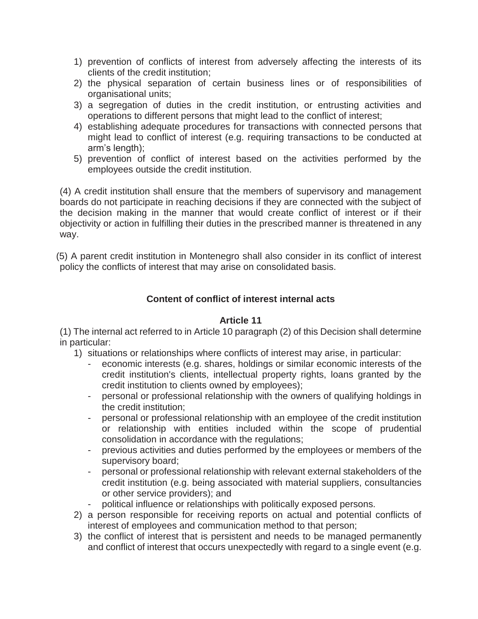- 1) prevention of conflicts of interest from adversely affecting the interests of its clients of the credit institution;
- 2) the physical separation of certain business lines or of responsibilities of organisational units;
- 3) a segregation of duties in the credit institution, or entrusting activities and operations to different persons that might lead to the conflict of interest;
- 4) establishing adequate procedures for transactions with connected persons that might lead to conflict of interest (e.g. requiring transactions to be conducted at arm's length);
- 5) prevention of conflict of interest based on the activities performed by the employees outside the credit institution.

(4) A credit institution shall ensure that the members of supervisory and management boards do not participate in reaching decisions if they are connected with the subject of the decision making in the manner that would create conflict of interest or if their objectivity or action in fulfilling their duties in the prescribed manner is threatened in any way.

(5) A parent credit institution in Montenegro shall also consider in its conflict of interest policy the conflicts of interest that may arise on consolidated basis.

# **Content of conflict of interest internal acts**

### **Article 11**

(1) The internal act referred to in Article 10 paragraph (2) of this Decision shall determine in particular:

- 1) situations or relationships where conflicts of interest may arise, in particular:
	- economic interests (e.g. shares, holdings or similar economic interests of the credit institution's clients, intellectual property rights, loans granted by the credit institution to clients owned by employees);
	- personal or professional relationship with the owners of qualifying holdings in the credit institution;
	- personal or professional relationship with an employee of the credit institution or relationship with entities included within the scope of prudential consolidation in accordance with the regulations;
	- previous activities and duties performed by the employees or members of the supervisory board;
	- personal or professional relationship with relevant external stakeholders of the credit institution (e.g. being associated with material suppliers, consultancies or other service providers); and
	- political influence or relationships with politically exposed persons.
- 2) a person responsible for receiving reports on actual and potential conflicts of interest of employees and communication method to that person;
- 3) the conflict of interest that is persistent and needs to be managed permanently and conflict of interest that occurs unexpectedly with regard to a single event (e.g.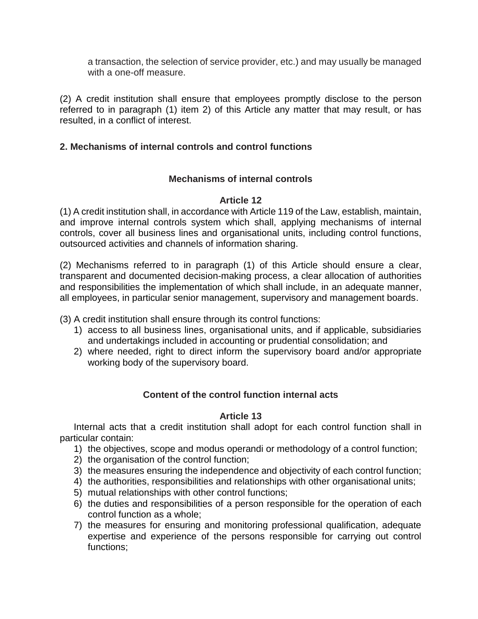a transaction, the selection of service provider, etc.) and may usually be managed with a one-off measure.

(2) A credit institution shall ensure that employees promptly disclose to the person referred to in paragraph (1) item 2) of this Article any matter that may result, or has resulted, in a conflict of interest.

## **2. Mechanisms of internal controls and control functions**

### **Mechanisms of internal controls**

### **Article 12**

(1) A credit institution shall, in accordance with Article 119 of the Law, establish, maintain, and improve internal controls system which shall, applying mechanisms of internal controls, cover all business lines and organisational units, including control functions, outsourced activities and channels of information sharing.

(2) Mechanisms referred to in paragraph (1) of this Article should ensure a clear, transparent and documented decision-making process, a clear allocation of authorities and responsibilities the implementation of which shall include, in an adequate manner, all employees, in particular senior management, supervisory and management boards.

(3) A credit institution shall ensure through its control functions:

- 1) access to all business lines, organisational units, and if applicable, subsidiaries and undertakings included in accounting or prudential consolidation; and
- 2) where needed, right to direct inform the supervisory board and/or appropriate working body of the supervisory board.

# **Content of the control function internal acts**

### **Article 13**

Internal acts that a credit institution shall adopt for each control function shall in particular contain:

- 1) the objectives, scope and modus operandi or methodology of a control function;
- 2) the organisation of the control function;
- 3) the measures ensuring the independence and objectivity of each control function;
- 4) the authorities, responsibilities and relationships with other organisational units;
- 5) mutual relationships with other control functions;
- 6) the duties and responsibilities of a person responsible for the operation of each control function as a whole;
- 7) the measures for ensuring and monitoring professional qualification, adequate expertise and experience of the persons responsible for carrying out control functions;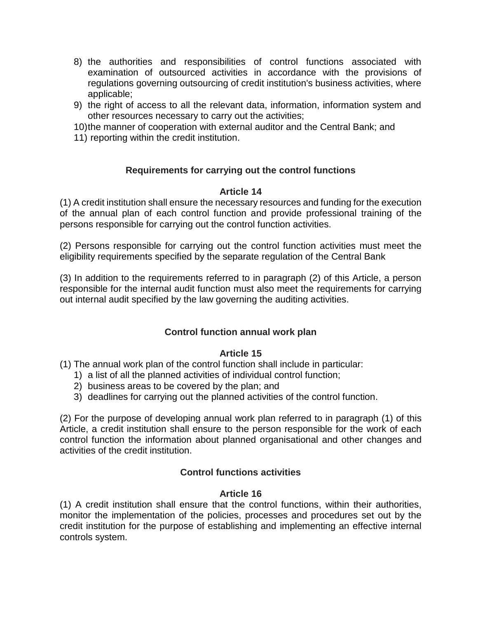- 8) the authorities and responsibilities of control functions associated with examination of outsourced activities in accordance with the provisions of regulations governing outsourcing of credit institution's business activities, where applicable;
- 9) the right of access to all the relevant data, information, information system and other resources necessary to carry out the activities;
- 10)the manner of cooperation with external auditor and the Central Bank; and
- 11) reporting within the credit institution.

# **Requirements for carrying out the control functions**

### **Article 14**

(1) A credit institution shall ensure the necessary resources and funding for the execution of the annual plan of each control function and provide professional training of the persons responsible for carrying out the control function activities.

(2) Persons responsible for carrying out the control function activities must meet the eligibility requirements specified by the separate regulation of the Central Bank

(3) In addition to the requirements referred to in paragraph (2) of this Article, a person responsible for the internal audit function must also meet the requirements for carrying out internal audit specified by the law governing the auditing activities.

# **Control function annual work plan**

### **Article 15**

(1) The annual work plan of the control function shall include in particular:

- 1) a list of all the planned activities of individual control function;
- 2) business areas to be covered by the plan; and
- 3) deadlines for carrying out the planned activities of the control function.

(2) For the purpose of developing annual work plan referred to in paragraph (1) of this Article, a credit institution shall ensure to the person responsible for the work of each control function the information about planned organisational and other changes and activities of the credit institution.

# **Control functions activities**

### **Article 16**

(1) A credit institution shall ensure that the control functions, within their authorities, monitor the implementation of the policies, processes and procedures set out by the credit institution for the purpose of establishing and implementing an effective internal controls system.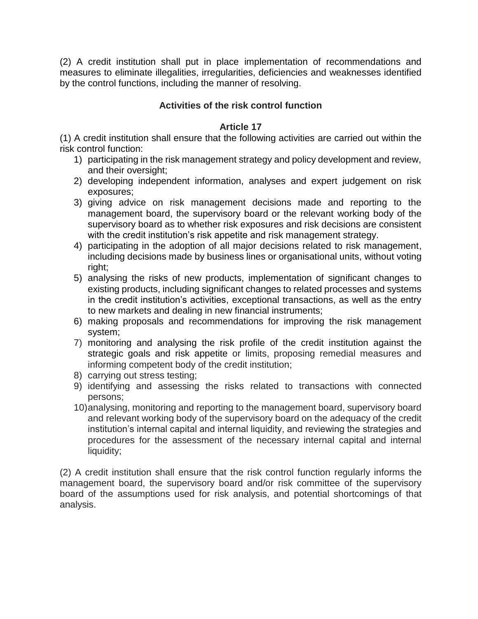(2) A credit institution shall put in place implementation of recommendations and measures to eliminate illegalities, irregularities, deficiencies and weaknesses identified by the control functions, including the manner of resolving.

# **Activities of the risk control function**

### **Article 17**

(1) A credit institution shall ensure that the following activities are carried out within the risk control function:

- 1) participating in the risk management strategy and policy development and review, and their oversight;
- 2) developing independent information, analyses and expert judgement on risk exposures;
- 3) giving advice on risk management decisions made and reporting to the management board, the supervisory board or the relevant working body of the supervisory board as to whether risk exposures and risk decisions are consistent with the credit institution's risk appetite and risk management strategy.
- 4) participating in the adoption of all major decisions related to risk management, including decisions made by business lines or organisational units, without voting right;
- 5) analysing the risks of new products, implementation of significant changes to existing products, including significant changes to related processes and systems in the credit institution's activities, exceptional transactions, as well as the entry to new markets and dealing in new financial instruments;
- 6) making proposals and recommendations for improving the risk management system;
- 7) monitoring and analysing the risk profile of the credit institution against the strategic goals and risk appetite or limits, proposing remedial measures and informing competent body of the credit institution;
- 8) carrying out stress testing;
- 9) identifying and assessing the risks related to transactions with connected persons;
- 10)analysing, monitoring and reporting to the management board, supervisory board and relevant working body of the supervisory board on the adequacy of the credit institution's internal capital and internal liquidity, and reviewing the strategies and procedures for the assessment of the necessary internal capital and internal liquidity;

(2) A credit institution shall ensure that the risk control function regularly informs the management board, the supervisory board and/or risk committee of the supervisory board of the assumptions used for risk analysis, and potential shortcomings of that analysis.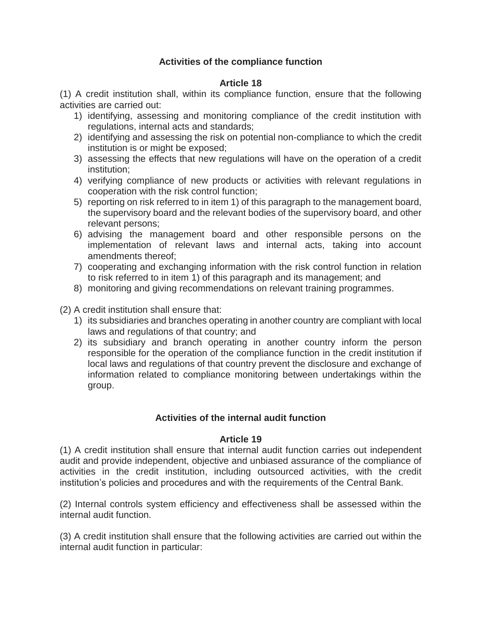# **Activities of the compliance function**

### **Article 18**

(1) A credit institution shall, within its compliance function, ensure that the following activities are carried out:

- 1) identifying, assessing and monitoring compliance of the credit institution with regulations, internal acts and standards;
- 2) identifying and assessing the risk on potential non-compliance to which the credit institution is or might be exposed;
- 3) assessing the effects that new regulations will have on the operation of a credit institution;
- 4) verifying compliance of new products or activities with relevant regulations in cooperation with the risk control function;
- 5) reporting on risk referred to in item 1) of this paragraph to the management board, the supervisory board and the relevant bodies of the supervisory board, and other relevant persons;
- 6) advising the management board and other responsible persons on the implementation of relevant laws and internal acts, taking into account amendments thereof;
- 7) cooperating and exchanging information with the risk control function in relation to risk referred to in item 1) of this paragraph and its management; and
- 8) monitoring and giving recommendations on relevant training programmes.

(2) A credit institution shall ensure that:

- 1) its subsidiaries and branches operating in another country are compliant with local laws and regulations of that country; and
- 2) its subsidiary and branch operating in another country inform the person responsible for the operation of the compliance function in the credit institution if local laws and regulations of that country prevent the disclosure and exchange of information related to compliance monitoring between undertakings within the group.

# **Activities of the internal audit function**

### **Article 19**

(1) A credit institution shall ensure that internal audit function carries out independent audit and provide independent, objective and unbiased assurance of the compliance of activities in the credit institution, including outsourced activities, with the credit institution's policies and procedures and with the requirements of the Central Bank.

(2) Internal controls system efficiency and effectiveness shall be assessed within the internal audit function.

(3) A credit institution shall ensure that the following activities are carried out within the internal audit function in particular: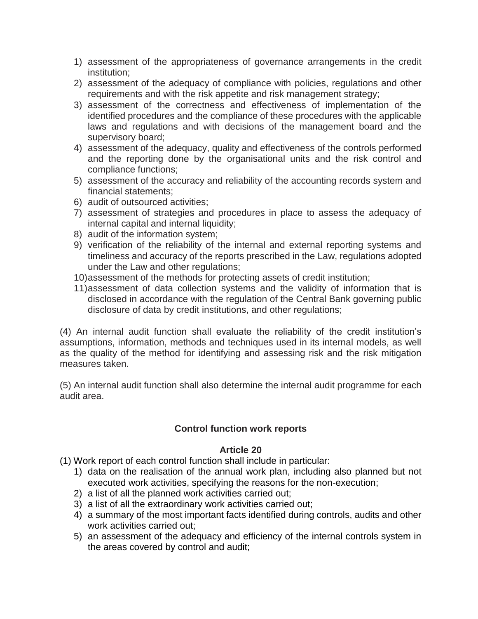- 1) assessment of the appropriateness of governance arrangements in the credit institution;
- 2) assessment of the adequacy of compliance with policies, regulations and other requirements and with the risk appetite and risk management strategy;
- 3) assessment of the correctness and effectiveness of implementation of the identified procedures and the compliance of these procedures with the applicable laws and regulations and with decisions of the management board and the supervisory board;
- 4) assessment of the adequacy, quality and effectiveness of the controls performed and the reporting done by the organisational units and the risk control and compliance functions;
- 5) assessment of the accuracy and reliability of the accounting records system and financial statements;
- 6) audit of outsourced activities;
- 7) assessment of strategies and procedures in place to assess the adequacy of internal capital and internal liquidity;
- 8) audit of the information system;
- 9) verification of the reliability of the internal and external reporting systems and timeliness and accuracy of the reports prescribed in the Law, regulations adopted under the Law and other regulations;
- 10)assessment of the methods for protecting assets of credit institution;
- 11)assessment of data collection systems and the validity of information that is disclosed in accordance with the regulation of the Central Bank governing public disclosure of data by credit institutions, and other regulations;

(4) An internal audit function shall evaluate the reliability of the credit institution's assumptions, information, methods and techniques used in its internal models, as well as the quality of the method for identifying and assessing risk and the risk mitigation measures taken.

(5) An internal audit function shall also determine the internal audit programme for each audit area.

# **Control function work reports**

### **Article 20**

(1) Work report of each control function shall include in particular:

- 1) data on the realisation of the annual work plan, including also planned but not executed work activities, specifying the reasons for the non-execution;
- 2) a list of all the planned work activities carried out;
- 3) a list of all the extraordinary work activities carried out;
- 4) a summary of the most important facts identified during controls, audits and other work activities carried out;
- 5) an assessment of the adequacy and efficiency of the internal controls system in the areas covered by control and audit;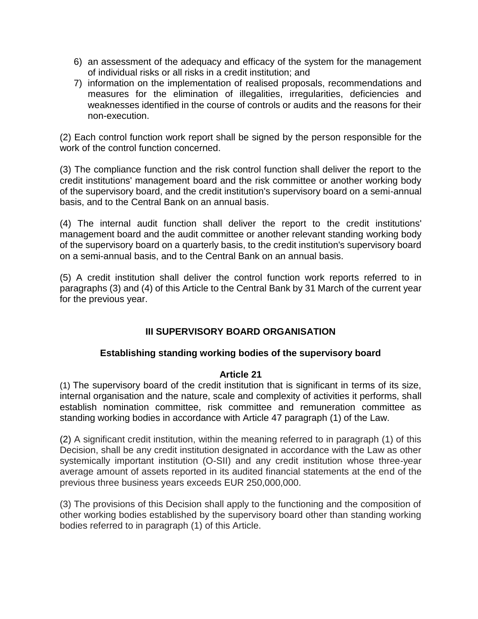- 6) an assessment of the adequacy and efficacy of the system for the management of individual risks or all risks in a credit institution; and
- 7) information on the implementation of realised proposals, recommendations and measures for the elimination of illegalities, irregularities, deficiencies and weaknesses identified in the course of controls or audits and the reasons for their non-execution.

(2) Each control function work report shall be signed by the person responsible for the work of the control function concerned.

(3) The compliance function and the risk control function shall deliver the report to the credit institutions' management board and the risk committee or another working body of the supervisory board, and the credit institution's supervisory board on a semi-annual basis, and to the Central Bank on an annual basis.

(4) The internal audit function shall deliver the report to the credit institutions' management board and the audit committee or another relevant standing working body of the supervisory board on a quarterly basis, to the credit institution's supervisory board on a semi-annual basis, and to the Central Bank on an annual basis.

(5) A credit institution shall deliver the control function work reports referred to in paragraphs (3) and (4) of this Article to the Central Bank by 31 March of the current year for the previous year.

# **III SUPERVISORY BOARD ORGANISATION**

# **Establishing standing working bodies of the supervisory board**

### **Article 21**

(1) The supervisory board of the credit institution that is significant in terms of its size, internal organisation and the nature, scale and complexity of activities it performs, shall establish nomination committee, risk committee and remuneration committee as standing working bodies in accordance with Article 47 paragraph (1) of the Law.

(2) A significant credit institution, within the meaning referred to in paragraph (1) of this Decision, shall be any credit institution designated in accordance with the Law as other systemically important institution (O-SII) and any credit institution whose three-year average amount of assets reported in its audited financial statements at the end of the previous three business years exceeds EUR 250,000,000.

(3) The provisions of this Decision shall apply to the functioning and the composition of other working bodies established by the supervisory board other than standing working bodies referred to in paragraph (1) of this Article.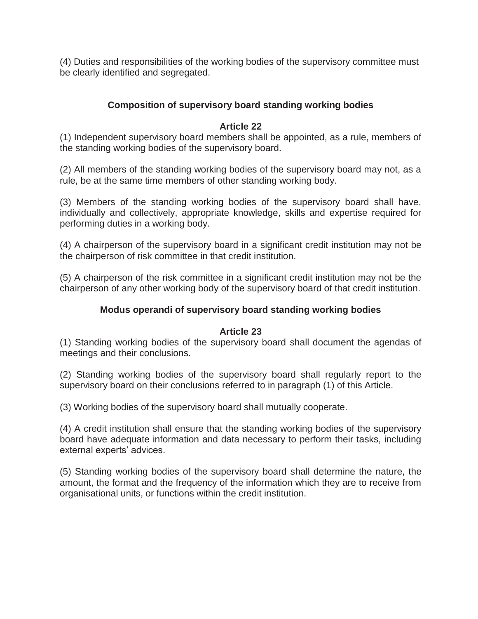(4) Duties and responsibilities of the working bodies of the supervisory committee must be clearly identified and segregated.

# **Composition of supervisory board standing working bodies**

### **Article 22**

(1) Independent supervisory board members shall be appointed, as a rule, members of the standing working bodies of the supervisory board.

(2) All members of the standing working bodies of the supervisory board may not, as a rule, be at the same time members of other standing working body.

(3) Members of the standing working bodies of the supervisory board shall have, individually and collectively, appropriate knowledge, skills and expertise required for performing duties in a working body.

(4) A chairperson of the supervisory board in a significant credit institution may not be the chairperson of risk committee in that credit institution.

(5) A chairperson of the risk committee in a significant credit institution may not be the chairperson of any other working body of the supervisory board of that credit institution.

## **Modus operandi of supervisory board standing working bodies**

### **Article 23**

(1) Standing working bodies of the supervisory board shall document the agendas of meetings and their conclusions.

(2) Standing working bodies of the supervisory board shall regularly report to the supervisory board on their conclusions referred to in paragraph (1) of this Article.

(3) Working bodies of the supervisory board shall mutually cooperate.

(4) A credit institution shall ensure that the standing working bodies of the supervisory board have adequate information and data necessary to perform their tasks, including external experts' advices.

(5) Standing working bodies of the supervisory board shall determine the nature, the amount, the format and the frequency of the information which they are to receive from organisational units, or functions within the credit institution.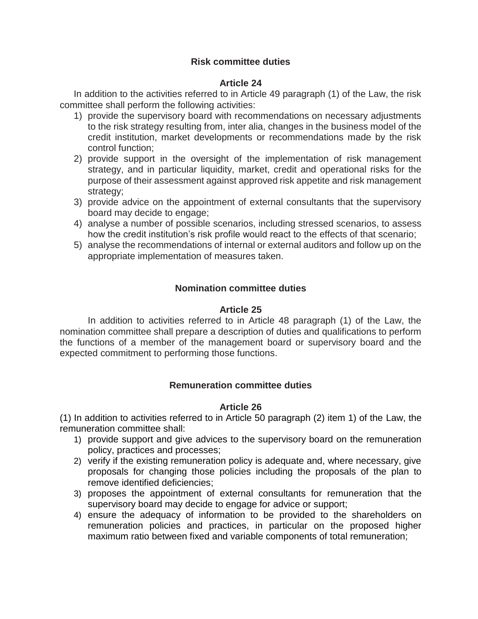## **Risk committee duties**

### **Article 24**

In addition to the activities referred to in Article 49 paragraph (1) of the Law, the risk committee shall perform the following activities:

- 1) provide the supervisory board with recommendations on necessary adjustments to the risk strategy resulting from, inter alia, changes in the business model of the credit institution, market developments or recommendations made by the risk control function;
- 2) provide support in the oversight of the implementation of risk management strategy, and in particular liquidity, market, credit and operational risks for the purpose of their assessment against approved risk appetite and risk management strategy;
- 3) provide advice on the appointment of external consultants that the supervisory board may decide to engage;
- 4) analyse a number of possible scenarios, including stressed scenarios, to assess how the credit institution's risk profile would react to the effects of that scenario;
- 5) analyse the recommendations of internal or external auditors and follow up on the appropriate implementation of measures taken.

### **Nomination committee duties**

### **Article 25**

In addition to activities referred to in Article 48 paragraph (1) of the Law, the nomination committee shall prepare a description of duties and qualifications to perform the functions of a member of the management board or supervisory board and the expected commitment to performing those functions.

### **Remuneration committee duties**

### **Article 26**

(1) In addition to activities referred to in Article 50 paragraph (2) item 1) of the Law, the remuneration committee shall:

- 1) provide support and give advices to the supervisory board on the remuneration policy, practices and processes;
- 2) verify if the existing remuneration policy is adequate and, where necessary, give proposals for changing those policies including the proposals of the plan to remove identified deficiencies;
- 3) proposes the appointment of external consultants for remuneration that the supervisory board may decide to engage for advice or support;
- 4) ensure the adequacy of information to be provided to the shareholders on remuneration policies and practices, in particular on the proposed higher maximum ratio between fixed and variable components of total remuneration;